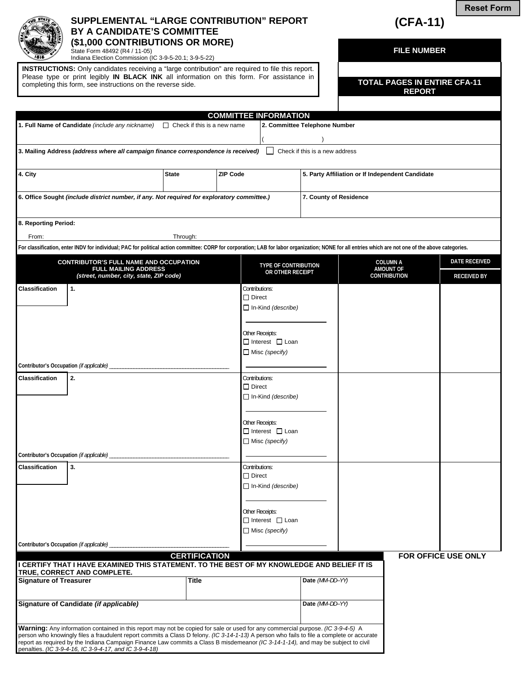

## **SUPPLEMENTAL "LARGE CONTRIBUTION" REPORT BY A CANDIDATE'S COMMITTEE (\$1,000 CONTRIBUTIONS OR MORE)**

**(CFA-11)** 

**FILE NUMBER** 

**REPORT** 

**Reset Form**

State Form 48492 (R4 / 11-05) Indiana Election Commission (IC 3-9-5-20.1; 3-9-5-22)

penalties. *(IC 3-9-4-16, IC 3-9-4-17, and IC 3-9-4-18)*

**INSTRUCTIONS:** Only candidates receiving a "large contribution" are required to file this report. Please type or print legibly **IN BLACK INK** all information on this form. For assistance in completing this form, see instructions on the reverse side. **TOTAL PAGES IN ENTIRE CFA-11 TOTAL PAGES IN ENTIRE CFA-11** 

|                                                                                             |                                                                                                                                                                                                                                                                                                                                                                                                                  |                                    | <b>COMMITTEE INFORMATION</b> |                                                                         |                                                  |  |                                         |                            |
|---------------------------------------------------------------------------------------------|------------------------------------------------------------------------------------------------------------------------------------------------------------------------------------------------------------------------------------------------------------------------------------------------------------------------------------------------------------------------------------------------------------------|------------------------------------|------------------------------|-------------------------------------------------------------------------|--------------------------------------------------|--|-----------------------------------------|----------------------------|
|                                                                                             | 1. Full Name of Candidate (include any nickname)                                                                                                                                                                                                                                                                                                                                                                 | $\Box$ Check if this is a new name |                              |                                                                         | 2. Committee Telephone Number                    |  |                                         |                            |
|                                                                                             | 3. Mailing Address (address where all campaign finance correspondence is received)                                                                                                                                                                                                                                                                                                                               |                                    |                              |                                                                         | Check if this is a new address                   |  |                                         |                            |
| 4. City                                                                                     |                                                                                                                                                                                                                                                                                                                                                                                                                  | <b>State</b>                       | <b>ZIP Code</b>              |                                                                         | 5. Party Affiliation or If Independent Candidate |  |                                         |                            |
| 6. Office Sought (include district number, if any. Not required for exploratory committee.) |                                                                                                                                                                                                                                                                                                                                                                                                                  |                                    |                              |                                                                         | 7. County of Residence                           |  |                                         |                            |
| 8. Reporting Period:                                                                        |                                                                                                                                                                                                                                                                                                                                                                                                                  |                                    |                              |                                                                         |                                                  |  |                                         |                            |
| From:                                                                                       |                                                                                                                                                                                                                                                                                                                                                                                                                  | Through:                           |                              |                                                                         |                                                  |  |                                         |                            |
|                                                                                             | For classification, enter INDV for individual; PAC for political action committee: CORP for corporation; LAB for labor organization; NONE for all entries which are not one of the above categories.                                                                                                                                                                                                             |                                    |                              |                                                                         |                                                  |  |                                         |                            |
|                                                                                             | <b>CONTRIBUTOR'S FULL NAME AND OCCUPATION</b>                                                                                                                                                                                                                                                                                                                                                                    |                                    |                              | <b>TYPE OF CONTRIBUTION</b>                                             |                                                  |  | <b>COLUMN A</b>                         | <b>DATE RECEIVED</b>       |
|                                                                                             | <b>FULL MAILING ADDRESS</b><br>(street, number, city, state, ZIP code)                                                                                                                                                                                                                                                                                                                                           |                                    |                              | OR OTHER RECEIPT                                                        |                                                  |  | <b>AMOUNT OF</b><br><b>CONTRIBUTION</b> | <b>RECEIVED BY</b>         |
| <b>Classification</b>                                                                       | 1.                                                                                                                                                                                                                                                                                                                                                                                                               |                                    | $\Box$ Direct                | Contributions:<br>$\Box$ In-Kind (describe)<br>Other Receipts:          |                                                  |  |                                         |                            |
|                                                                                             |                                                                                                                                                                                                                                                                                                                                                                                                                  |                                    |                              | $\Box$ Interest $\Box$ Loan<br>$\Box$ Misc (specify)                    |                                                  |  |                                         |                            |
| Contributor's Occupation (if applicable)                                                    |                                                                                                                                                                                                                                                                                                                                                                                                                  |                                    |                              |                                                                         |                                                  |  |                                         |                            |
| <b>Classification</b>                                                                       | 2.                                                                                                                                                                                                                                                                                                                                                                                                               |                                    | $\Box$ Direct                | Contributions:<br>$\Box$ In-Kind (describe)                             |                                                  |  |                                         |                            |
|                                                                                             |                                                                                                                                                                                                                                                                                                                                                                                                                  |                                    |                              | Other Receipts:<br>$\Box$ Interest $\Box$ Loan<br>$\Box$ Misc (specify) |                                                  |  |                                         |                            |
| Contributor's Occupation (if applicable)                                                    |                                                                                                                                                                                                                                                                                                                                                                                                                  |                                    |                              |                                                                         |                                                  |  |                                         |                            |
| <b>Classification</b>                                                                       | 3.                                                                                                                                                                                                                                                                                                                                                                                                               |                                    | $\Box$ Direct                | Contributions:<br>$\Box$ In-Kind (describe)                             |                                                  |  |                                         |                            |
|                                                                                             |                                                                                                                                                                                                                                                                                                                                                                                                                  |                                    |                              | Other Receipts:<br>$\Box$ Interest $\Box$ Loan<br>$\Box$ Misc (specify) |                                                  |  |                                         |                            |
| Contributor's Occupation (if applicable)                                                    |                                                                                                                                                                                                                                                                                                                                                                                                                  |                                    |                              |                                                                         |                                                  |  |                                         |                            |
|                                                                                             | I CERTIFY THAT I HAVE EXAMINED THIS STATEMENT. TO THE BEST OF MY KNOWLEDGE AND BELIEF IT IS                                                                                                                                                                                                                                                                                                                      | <b>CERTIFICATION</b>               |                              |                                                                         |                                                  |  |                                         | <b>FOR OFFICE USE ONLY</b> |
| TRUE, CORRECT AND COMPLETE.<br><b>Signature of Treasurer</b>                                |                                                                                                                                                                                                                                                                                                                                                                                                                  |                                    | <b>Title</b>                 |                                                                         | Date (MM-DD-YY)                                  |  |                                         |                            |
| Signature of Candidate (if applicable)                                                      |                                                                                                                                                                                                                                                                                                                                                                                                                  |                                    |                              |                                                                         | Date (MM-DD-YY)                                  |  |                                         |                            |
|                                                                                             | Warning: Any information contained in this report may not be copied for sale or used for any commercial purpose. (IC 3-9-4-5) A<br>person who knowingly files a fraudulent report commits a Class D felony. (IC 3-14-1-13) A person who fails to file a complete or accurate<br>report as required by the Indiana Campaign Finance Law commits a Class B misdemeanor (IC 3-14-1-14), and may be subject to civil |                                    |                              |                                                                         |                                                  |  |                                         |                            |